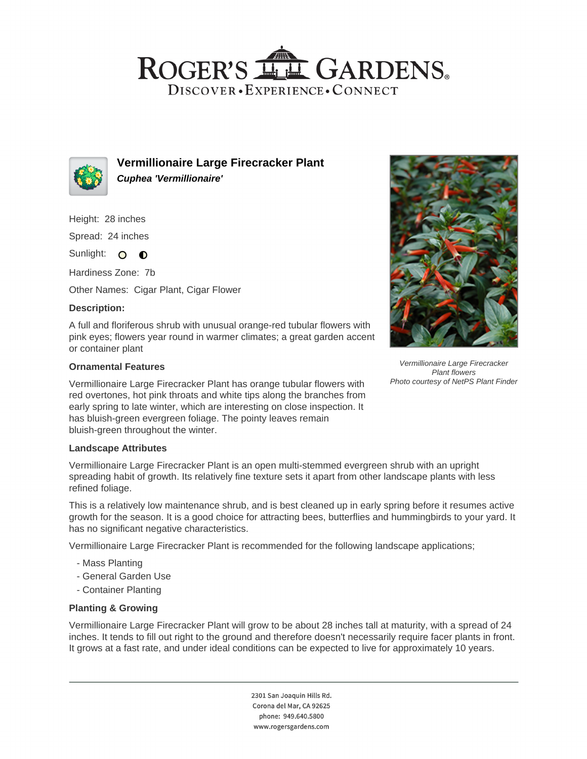## ROGER'S LL GARDENS. DISCOVER · EXPERIENCE · CONNECT



**Vermillionaire Large Firecracker Plant Cuphea 'Vermillionaire'**

Height: 28 inches

Spread: 24 inches

Sunlight: O **O** 

Hardiness Zone: 7b

Other Names: Cigar Plant, Cigar Flower

## **Description:**

A full and floriferous shrub with unusual orange-red tubular flowers with pink eyes; flowers year round in warmer climates; a great garden accent or container plant

#### **Ornamental Features**

Vermillionaire Large Firecracker Plant has orange tubular flowers with red overtones, hot pink throats and white tips along the branches from early spring to late winter, which are interesting on close inspection. It has bluish-green evergreen foliage. The pointy leaves remain bluish-green throughout the winter.

#### **Landscape Attributes**

Vermillionaire Large Firecracker Plant is an open multi-stemmed evergreen shrub with an upright spreading habit of growth. Its relatively fine texture sets it apart from other landscape plants with less refined foliage.

This is a relatively low maintenance shrub, and is best cleaned up in early spring before it resumes active growth for the season. It is a good choice for attracting bees, butterflies and hummingbirds to your yard. It has no significant negative characteristics.

Vermillionaire Large Firecracker Plant is recommended for the following landscape applications;

- Mass Planting
- General Garden Use
- Container Planting

## **Planting & Growing**

Vermillionaire Large Firecracker Plant will grow to be about 28 inches tall at maturity, with a spread of 24 inches. It tends to fill out right to the ground and therefore doesn't necessarily require facer plants in front. It grows at a fast rate, and under ideal conditions can be expected to live for approximately 10 years.

> 2301 San Joaquin Hills Rd. Corona del Mar, CA 92625 phone: 949.640.5800 www.rogersgardens.com



Vermillionaire Large Firecracker Plant flowers Photo courtesy of NetPS Plant Finder